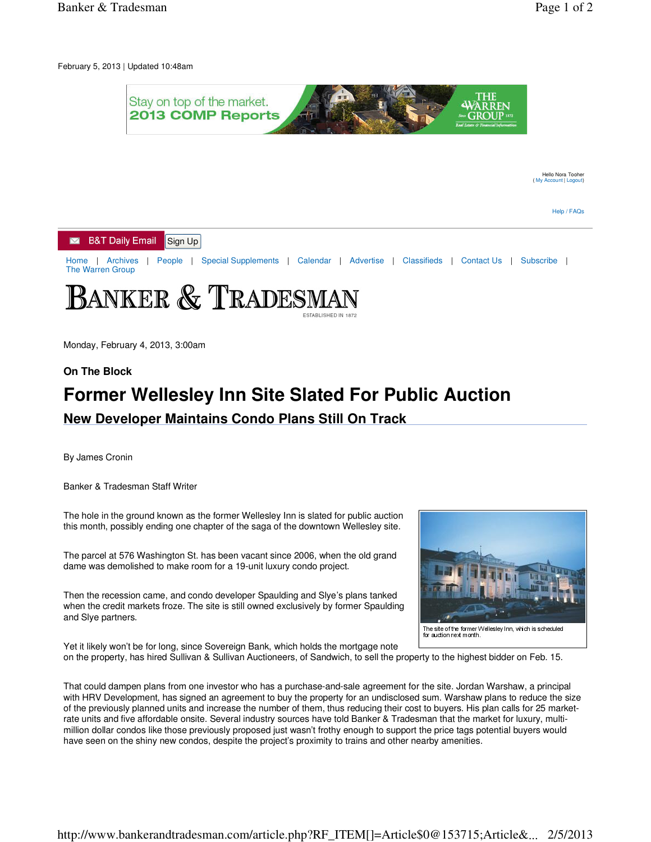February 5, 2013 | Updated 10:48am



Monday, February 4, 2013, 3:00am

## **On The Block**

## **Former Wellesley Inn Site Slated For Public Auction New Developer Maintains Condo Plans Still On Track**

By James Cronin

Banker & Tradesman Staff Writer

The hole in the ground known as the former Wellesley Inn is slated for public auction this month, possibly ending one chapter of the saga of the downtown Wellesley site.

The parcel at 576 Washington St. has been vacant since 2006, when the old grand dame was demolished to make room for a 19-unit luxury condo project.

Then the recession came, and condo developer Spaulding and Slye's plans tanked when the credit markets froze. The site is still owned exclusively by former Spaulding and Slye partners.



Yet it likely won't be for long, since Sovereign Bank, which holds the mortgage note on the property, has hired Sullivan & Sullivan Auctioneers, of Sandwich, to sell the property to the highest bidder on Feb. 15.

That could dampen plans from one investor who has a purchase-and-sale agreement for the site. Jordan Warshaw, a principal with HRV Development, has signed an agreement to buy the property for an undisclosed sum. Warshaw plans to reduce the size of the previously planned units and increase the number of them, thus reducing their cost to buyers. His plan calls for 25 marketrate units and five affordable onsite. Several industry sources have told Banker & Tradesman that the market for luxury, multimillion dollar condos like those previously proposed just wasn't frothy enough to support the price tags potential buyers would have seen on the shiny new condos, despite the project's proximity to trains and other nearby amenities.